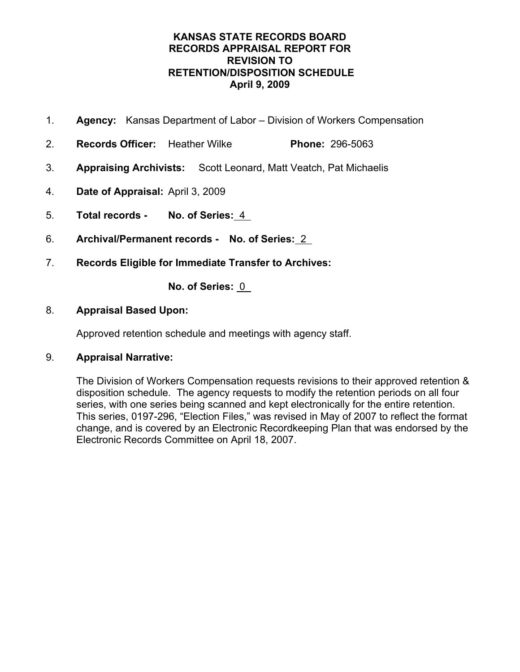- 1. **Agency:** Kansas Department of Labor Division of Workers Compensation
- 2. **Records Officer:** Heather Wilke **Phone:** 296-5063
- 3. **Appraising Archivists:** Scott Leonard, Matt Veatch, Pat Michaelis
- 4. **Date of Appraisal:** April 3, 2009
- 5. **Total records No. of Series:** 4
- 6. **Archival/Permanent records No. of Series:** 2
- 7. **Records Eligible for Immediate Transfer to Archives:**

**No. of Series:** 0

## 8. **Appraisal Based Upon:**

Approved retention schedule and meetings with agency staff.

## 9. **Appraisal Narrative:**

The Division of Workers Compensation requests revisions to their approved retention & disposition schedule. The agency requests to modify the retention periods on all four series, with one series being scanned and kept electronically for the entire retention. This series, 0197-296, "Election Files," was revised in May of 2007 to reflect the format change, and is covered by an Electronic Recordkeeping Plan that was endorsed by the Electronic Records Committee on April 18, 2007.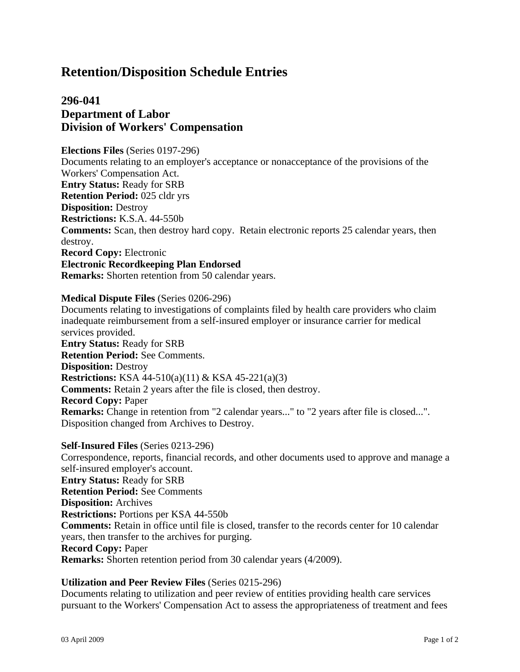## **296-041 Department of Labor Division of Workers' Compensation**

**Elections Files** (Series 0197-296) Documents relating to an employer's acceptance or nonacceptance of the provisions of the Workers' Compensation Act. **Entry Status:** Ready for SRB **Retention Period:** 025 cldr yrs **Disposition:** Destroy **Restrictions:** K.S.A. 44-550b **Comments:** Scan, then destroy hard copy. Retain electronic reports 25 calendar years, then destroy. **Record Copy:** Electronic **Electronic Recordkeeping Plan Endorsed**

**Remarks:** Shorten retention from 50 calendar years.

#### **Medical Dispute Files** (Series 0206-296)

Documents relating to investigations of complaints filed by health care providers who claim inadequate reimbursement from a self-insured employer or insurance carrier for medical services provided. **Entry Status:** Ready for SRB **Retention Period:** See Comments. **Disposition:** Destroy **Restrictions:** KSA 44-510(a)(11) & KSA 45-221(a)(3) **Comments:** Retain 2 years after the file is closed, then destroy. **Record Copy:** Paper **Remarks:** Change in retention from "2 calendar years..." to "2 years after file is closed...". Disposition changed from Archives to Destroy.

**Self-Insured Files** (Series 0213-296) Correspondence, reports, financial records, and other documents used to approve and manage a self-insured employer's account. **Entry Status:** Ready for SRB **Retention Period:** See Comments **Disposition:** Archives **Restrictions:** Portions per KSA 44-550b **Comments:** Retain in office until file is closed, transfer to the records center for 10 calendar years, then transfer to the archives for purging. **Record Copy:** Paper **Remarks:** Shorten retention period from 30 calendar years (4/2009).

#### **Utilization and Peer Review Files** (Series 0215-296)

Documents relating to utilization and peer review of entities providing health care services pursuant to the Workers' Compensation Act to assess the appropriateness of treatment and fees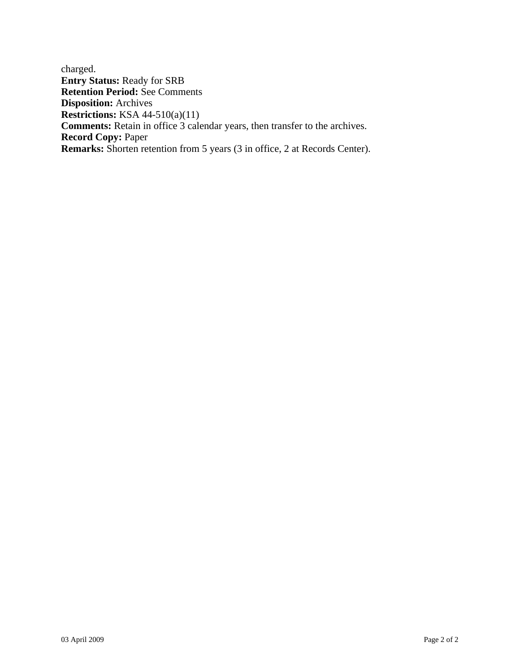charged. **Entry Status:** Ready for SRB **Retention Period:** See Comments **Disposition:** Archives **Restrictions:** KSA 44-510(a)(11) **Comments:** Retain in office 3 calendar years, then transfer to the archives. **Record Copy:** Paper **Remarks:** Shorten retention from 5 years (3 in office, 2 at Records Center).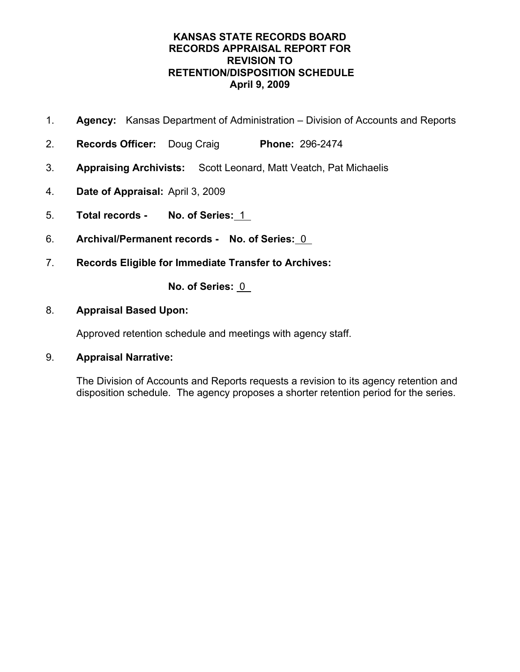- 1. **Agency:** Kansas Department of Administration Division of Accounts and Reports
- 2. **Records Officer:** Doug Craig **Phone:** 296-2474
- 3. **Appraising Archivists:** Scott Leonard, Matt Veatch, Pat Michaelis
- 4. **Date of Appraisal:** April 3, 2009
- 5. **Total records No. of Series:** 1
- 6. **Archival/Permanent records No. of Series:** 0
- 7. **Records Eligible for Immediate Transfer to Archives:**

**No. of Series:** 0

## 8. **Appraisal Based Upon:**

Approved retention schedule and meetings with agency staff.

## 9. **Appraisal Narrative:**

The Division of Accounts and Reports requests a revision to its agency retention and disposition schedule. The agency proposes a shorter retention period for the series.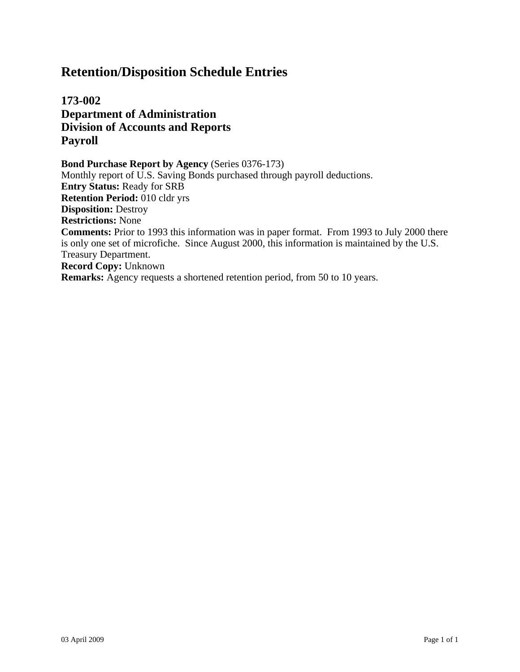**173-002 Department of Administration Division of Accounts and Reports Payroll**

**Bond Purchase Report by Agency** (Series 0376-173) Monthly report of U.S. Saving Bonds purchased through payroll deductions. **Entry Status:** Ready for SRB **Retention Period:** 010 cldr yrs **Disposition:** Destroy **Restrictions:** None **Comments:** Prior to 1993 this information was in paper format. From 1993 to July 2000 there is only one set of microfiche. Since August 2000, this information is maintained by the U.S. Treasury Department. **Record Copy:** Unknown **Remarks:** Agency requests a shortened retention period, from 50 to 10 years.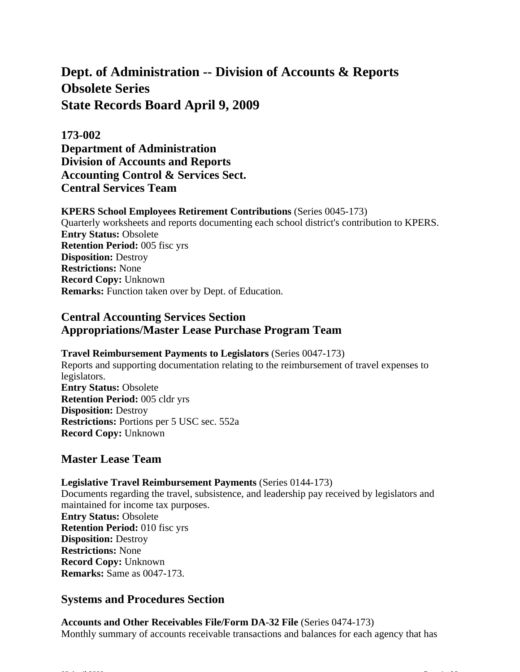# **Dept. of Administration -- Division of Accounts & Reports Obsolete Series State Records Board April 9, 2009**

## **173-002**

**Department of Administration Division of Accounts and Reports Accounting Control & Services Sect. Central Services Team**

#### **KPERS School Employees Retirement Contributions** (Series 0045-173)

Quarterly worksheets and reports documenting each school district's contribution to KPERS. **Entry Status:** Obsolete **Retention Period:** 005 fisc yrs **Disposition:** Destroy **Restrictions:** None **Record Copy:** Unknown **Remarks:** Function taken over by Dept. of Education.

## **Central Accounting Services Section Appropriations/Master Lease Purchase Program Team**

## **Travel Reimbursement Payments to Legislators** (Series 0047-173)

Reports and supporting documentation relating to the reimbursement of travel expenses to legislators. **Entry Status:** Obsolete **Retention Period:** 005 cldr yrs **Disposition:** Destroy **Restrictions:** Portions per 5 USC sec. 552a **Record Copy:** Unknown

## **Master Lease Team**

#### **Legislative Travel Reimbursement Payments** (Series 0144-173)

Documents regarding the travel, subsistence, and leadership pay received by legislators and maintained for income tax purposes. **Entry Status:** Obsolete **Retention Period:** 010 fisc yrs **Disposition:** Destroy **Restrictions:** None **Record Copy:** Unknown **Remarks:** Same as 0047-173.

## **Systems and Procedures Section**

### **Accounts and Other Receivables File/Form DA-32 File** (Series 0474-173) Monthly summary of accounts receivable transactions and balances for each agency that has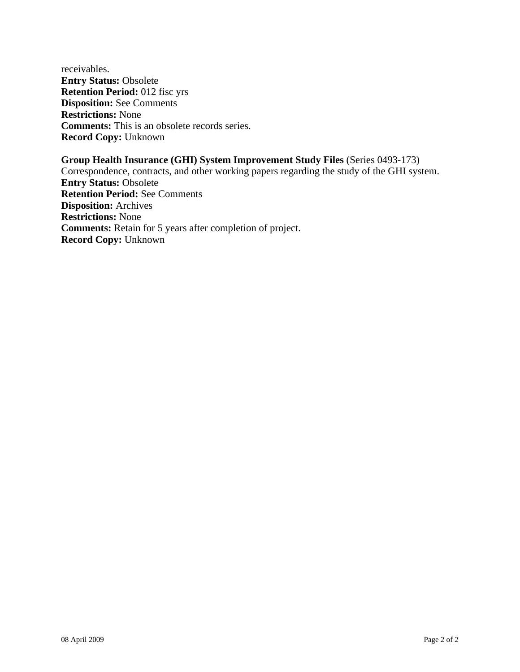receivables. **Entry Status:** Obsolete **Retention Period:** 012 fisc yrs **Disposition:** See Comments **Restrictions:** None **Comments:** This is an obsolete records series. **Record Copy:** Unknown

**Group Health Insurance (GHI) System Improvement Study Files** (Series 0493-173) Correspondence, contracts, and other working papers regarding the study of the GHI system. **Entry Status:** Obsolete **Retention Period:** See Comments **Disposition:** Archives **Restrictions:** None **Comments:** Retain for 5 years after completion of project. **Record Copy:** Unknown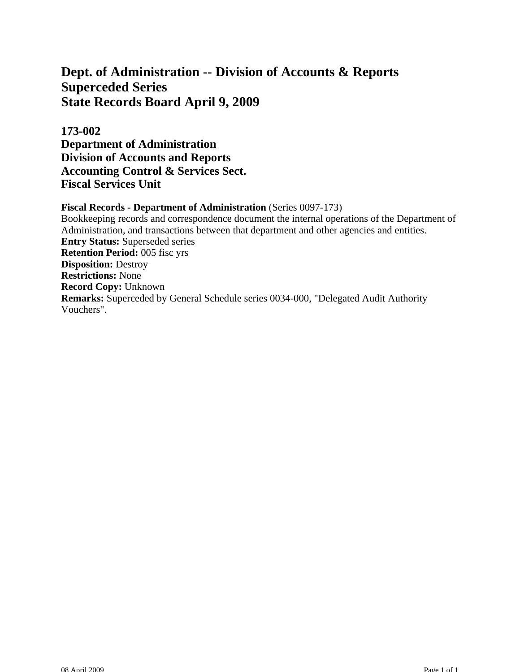## **Dept. of Administration -- Division of Accounts & Reports Superceded Series State Records Board April 9, 2009**

**173-002 Department of Administration Division of Accounts and Reports Accounting Control & Services Sect. Fiscal Services Unit**

**Fiscal Records - Department of Administration** (Series 0097-173) Bookkeeping records and correspondence document the internal operations of the Department of Administration, and transactions between that department and other agencies and entities. **Entry Status:** Superseded series **Retention Period:** 005 fisc yrs **Disposition:** Destroy **Restrictions:** None **Record Copy:** Unknown **Remarks:** Superceded by General Schedule series 0034-000, "Delegated Audit Authority Vouchers".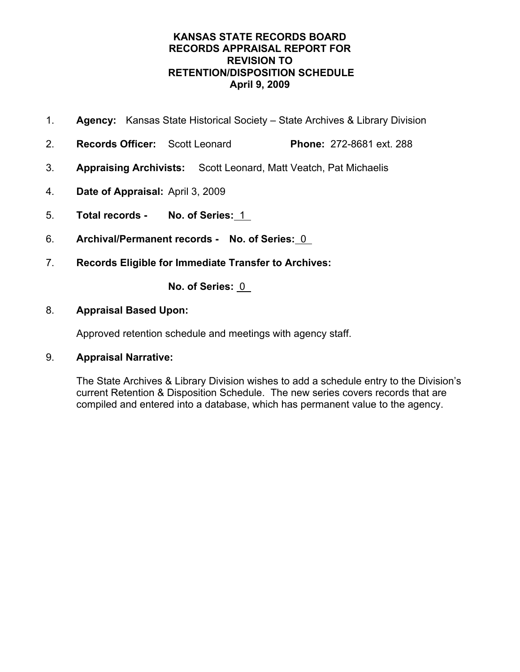- 1. **Agency:** Kansas State Historical Society State Archives & Library Division
- 2. **Records Officer:** Scott Leonard **Phone:** 272-8681 ext. 288
- 3. **Appraising Archivists:** Scott Leonard, Matt Veatch, Pat Michaelis
- 4. **Date of Appraisal:** April 3, 2009
- 5. **Total records No. of Series:** 1
- 6. **Archival/Permanent records No. of Series:** 0
- 7. **Records Eligible for Immediate Transfer to Archives:**

**No. of Series:** 0

## 8. **Appraisal Based Upon:**

Approved retention schedule and meetings with agency staff.

## 9. **Appraisal Narrative:**

The State Archives & Library Division wishes to add a schedule entry to the Division's current Retention & Disposition Schedule. The new series covers records that are compiled and entered into a database, which has permanent value to the agency.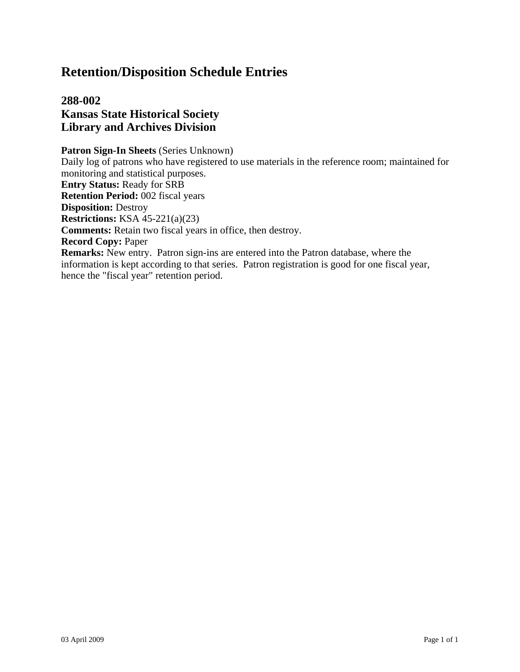## **288-002 Kansas State Historical Society Library and Archives Division**

**Patron Sign-In Sheets** (Series Unknown) Daily log of patrons who have registered to use materials in the reference room; maintained for monitoring and statistical purposes. **Entry Status:** Ready for SRB **Retention Period:** 002 fiscal years **Disposition:** Destroy **Restrictions:** KSA 45-221(a)(23) **Comments:** Retain two fiscal years in office, then destroy. **Record Copy:** Paper **Remarks:** New entry. Patron sign-ins are entered into the Patron database, where the information is kept according to that series. Patron registration is good for one fiscal year, hence the "fiscal year" retention period.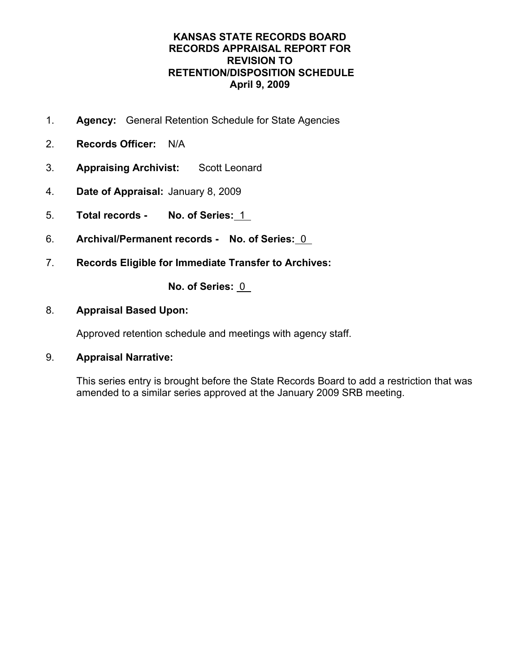- 1. **Agency:** General Retention Schedule for State Agencies
- 2. **Records Officer:** N/A
- 3. **Appraising Archivist:** Scott Leonard
- 4. **Date of Appraisal:** January 8, 2009
- 5. **Total records No. of Series:** 1
- 6. **Archival/Permanent records No. of Series:** 0
- 7. **Records Eligible for Immediate Transfer to Archives:**

**No. of Series:** 0

### 8. **Appraisal Based Upon:**

Approved retention schedule and meetings with agency staff.

## 9. **Appraisal Narrative:**

This series entry is brought before the State Records Board to add a restriction that was amended to a similar series approved at the January 2009 SRB meeting.